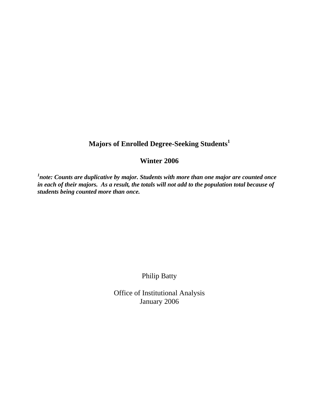## **Majors of Enrolled Degree-Seeking Students<sup>1</sup>**

## **Winter 2006**

*1 note: Counts are duplicative by major. Students with more than one major are counted once in each of their majors. As a result, the totals will not add to the population total because of students being counted more than once.* 

Philip Batty

Office of Institutional Analysis January 2006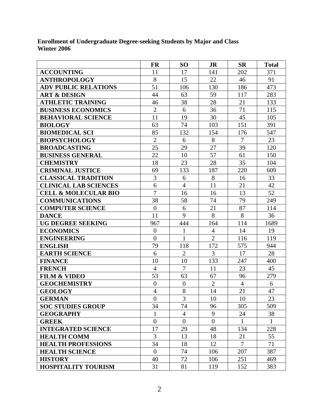**Enrollment of Undergraduate Degree-seeking Students by Major and Class Winter 2006** 

|                                 | <b>FR</b>      | <b>SO</b>        | <b>JR</b>      | <b>SR</b>      | <b>Total</b> |
|---------------------------------|----------------|------------------|----------------|----------------|--------------|
| <b>ACCOUNTING</b>               | 11             | 17               | 141            | 202            | 371          |
| <b>ANTHROPOLOGY</b>             | 8              | 15               | 22             | 46             | 91           |
| <b>ADV PUBLIC RELATIONS</b>     | 51             | 106              | 130            | 186            | 473          |
| <b>ART &amp; DESIGN</b>         | 44             | 63               | 59             | 117            | 283          |
| <b>ATHLETIC TRAINING</b>        | 46             | 38               | 28             | 21             | 133          |
| <b>BUSINESS ECONOMICS</b>       | $\overline{2}$ | 6                | 36             | 71             | 115          |
| <b>BEHAVIORAL SCIENCE</b>       | 11             | 19               | 30             | 45             | 105          |
| <b>BIOLOGY</b>                  | 63             | 74               | 103            | 151            | 391          |
| <b>BIOMEDICAL SCI</b>           | 85             | 132              | 154            | 176            | 547          |
| <b>BIOPSYCHOLOGY</b>            | $\overline{2}$ | 6                | 8              | $\overline{7}$ | 23           |
| <b>BROADCASTING</b>             | 25             | 29               | 27             | 39             | 120          |
| <b>BUSINESS GENERAL</b>         | 22             | 10               | 57             | 61             | 150          |
| <b>CHEMISTRY</b>                | 18             | 23               | 28             | 35             | 104          |
| <b>CRIMINAL JUSTICE</b>         | 69             | 133              | 187            | 220            | 609          |
| <b>CLASSICAL TRADITION</b>      | 3              | 6                | 8              | 16             | 33           |
| <b>CLINICAL LAB SCIENCES</b>    | $\overline{6}$ | $\overline{4}$   | 11             | 21             | 42           |
| <b>CELL &amp; MOLECULAR BIO</b> | $\overline{7}$ | 16               | 16             | 13             | 52           |
| <b>COMMUNICATIONS</b>           | 38             | 58               | 74             | 79             | 249          |
| <b>COMPUTER SCIENCE</b>         | $\overline{0}$ | 6                | 21             | 87             | 114          |
| <b>DANCE</b>                    | 11             | 9                | 8              | 8              | 36           |
| <b>UG DEGREE SEEKING</b>        | 967            | 444              | 164            | 114            | 1689         |
| <b>ECONOMICS</b>                | $\overline{0}$ | $\mathbf{1}$     | $\overline{4}$ | 14             | 19           |
| <b>ENGINEERING</b>              | $\overline{0}$ | $\mathbf{1}$     | $\overline{2}$ | 116            | 119          |
| <b>ENGLISH</b>                  | 79             | 118              | 172            | 575            | 944          |
| <b>EARTH SCIENCE</b>            | 6              | $\overline{2}$   | $\overline{3}$ | 17             | 28           |
| <b>FINANCE</b>                  | 10             | 10               | 133            | 247            | 400          |
| <b>FRENCH</b>                   | $\overline{4}$ | $\overline{7}$   | 11             | 23             | 45           |
| <b>FILM &amp; VIDEO</b>         | 53             | 63               | 67             | 96             | 279          |
| <b>GEOCHEMISTRY</b>             | $\overline{0}$ | $\boldsymbol{0}$ | $\overline{2}$ | $\overline{4}$ | 6            |
| <b>GEOLOGY</b>                  | $\overline{4}$ | 8                | 14             | 21             | 47           |
| <b>GERMAN</b>                   | $\theta$       | 3                | 10             | 10             | 23           |
| <b>SOC STUDIES GROUP</b>        | 34             | 74               | 96             | 305            | 509          |
| <b>GEOGRAPHY</b>                | 1              | $\overline{4}$   | 9              | 24             | 38           |
| <b>GREEK</b>                    | $\overline{0}$ | $\overline{0}$   | $\overline{0}$ | $\mathbf{1}$   | $\mathbf{1}$ |
| <b>INTEGRATED SCIENCE</b>       | 17             | 29               | 48             | 134            | 228          |
| <b>HEALTH COMM</b>              | 3              | 13               | 18             | 21             | 55           |
| <b>HEALTH PROFESSIONS</b>       | 34             | 18               | 12             | $\overline{7}$ | 71           |
| <b>HEALTH SCIENCE</b>           | $\overline{0}$ | 74               | 106            | 207            | 387          |
| <b>HISTORY</b>                  | 40             | 72               | 106            | 251            | 469          |
| <b>HOSPITALITY TOURISM</b>      | 31             | 81               | 119            | 152            | 383          |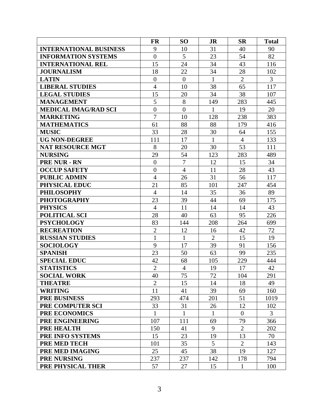|                               | <b>FR</b>      | SO <sub>1</sub> | <b>JR</b>      | <b>SR</b>      | <b>Total</b> |
|-------------------------------|----------------|-----------------|----------------|----------------|--------------|
| <b>INTERNATIONAL BUSINESS</b> | 9              | 10              | 31             | 40             | 90           |
| <b>INFORMATION SYSTEMS</b>    | $\overline{0}$ | 5               | 23             | 54             | 82           |
| <b>INTERNATIONAL REL</b>      | 15             | 24              | 34             | 43             | 116          |
| <b>JOURNALISM</b>             | 18             | 22              | 34             | 28             | 102          |
| <b>LATIN</b>                  | $\overline{0}$ | $\overline{0}$  | $\mathbf{1}$   | $\overline{2}$ | 3            |
| <b>LIBERAL STUDIES</b>        | $\overline{4}$ | 10              | 38             | 65             | 117          |
| <b>LEGAL STUDIES</b>          | 15             | 20              | 34             | 38             | 107          |
| <b>MANAGEMENT</b>             | 5              | 8               | 149            | 283            | 445          |
| <b>MEDICAL IMAG/RAD SCI</b>   | $\overline{0}$ | $\overline{0}$  | 1              | 19             | 20           |
| <b>MARKETING</b>              | $\overline{7}$ | 10              | 128            | 238            | 383          |
| <b>MATHEMATICS</b>            | 61             | 88              | 88             | 179            | 416          |
| <b>MUSIC</b>                  | 33             | 28              | 30             | 64             | 155          |
| <b>UG NON-DEGREE</b>          | 111            | 17              | $\mathbf{1}$   | $\overline{4}$ | 133          |
| <b>NAT RESOURCE MGT</b>       | 8              | 20              | 30             | 53             | 111          |
| <b>NURSING</b>                | 29             | 54              | 123            | 283            | 489          |
| <b>PRE NUR - RN</b>           | $\overline{0}$ | $\overline{7}$  | 12             | 15             | 34           |
| <b>OCCUP SAFETY</b>           | $\overline{0}$ | $\overline{4}$  | 11             | 28             | 43           |
| <b>PUBLIC ADMIN</b>           | $\overline{4}$ | 26              | 31             | 56             | 117          |
| PHYSICAL EDUC                 | 21             | 85              | 101            | 247            | 454          |
| <b>PHILOSOPHY</b>             | $\overline{4}$ | 14              | 35             | 36             | 89           |
| <b>PHOTOGRAPHY</b>            | 23             | 39              | 44             | 69             | 175          |
| <b>PHYSICS</b>                | $\overline{4}$ | 11              | 14             | 14             | 43           |
| <b>POLITICAL SCI</b>          | 28             | 40              | 63             | 95             | 226          |
| <b>PSYCHOLOGY</b>             | 83             | 144             | 208            | 264            | 699          |
| <b>RECREATION</b>             | $\overline{2}$ | 12              | 16             | 42             | 72           |
| <b>RUSSIAN STUDIES</b>        | $\mathbf{1}$   | $\mathbf{1}$    | $\overline{2}$ | 15             | 19           |
| <b>SOCIOLOGY</b>              | 9              | 17              | 39             | 91             | 156          |
| <b>SPANISH</b>                | 23             | 50              | 63             | 99             | 235          |
| <b>SPECIAL EDUC</b>           | 42             | 68              | 105            | 229            | 444          |
| <b>STATISTICS</b>             | $\overline{2}$ | $\overline{4}$  | 19             | 17             | 42           |
| <b>SOCIAL WORK</b>            | 40             | 75              | 72             | 104            | 291          |
| <b>THEATRE</b>                | $\overline{2}$ | 15              | 14             | 18             | 49           |
| <b>WRITING</b>                | 11             | 41              | 39             | 69             | 160          |
| <b>PRE BUSINESS</b>           | 293            | 474             | 201            | 51             | 1019         |
| PRE COMPUTER SCI              | 33             | 31              | 26             | 12             | 102          |
| <b>PRE ECONOMICS</b>          | $\mathbf{1}$   | $\mathbf{1}$    | $\mathbf{1}$   | $\theta$       | 3            |
| PRE ENGINEERING               | 107            | 111             | 69             | 79             | 366          |
| <b>PRE HEALTH</b>             | 150            | 41              | 9              | $\overline{2}$ | 202          |
| PRE INFO SYSTEMS              | 15             | 23              | 19             | 13             | 70           |
| PRE MED TECH                  | 101            | 35              | 5              | $\overline{2}$ | 143          |
| PRE MED IMAGING               | 25             | 45              | 38             | 19             | 127          |
| <b>PRE NURSING</b>            | 237            | 237             | 142            | 178            | 794          |
| PRE PHYSICAL THER             | 57             | 27              | 15             | 1              | 100          |